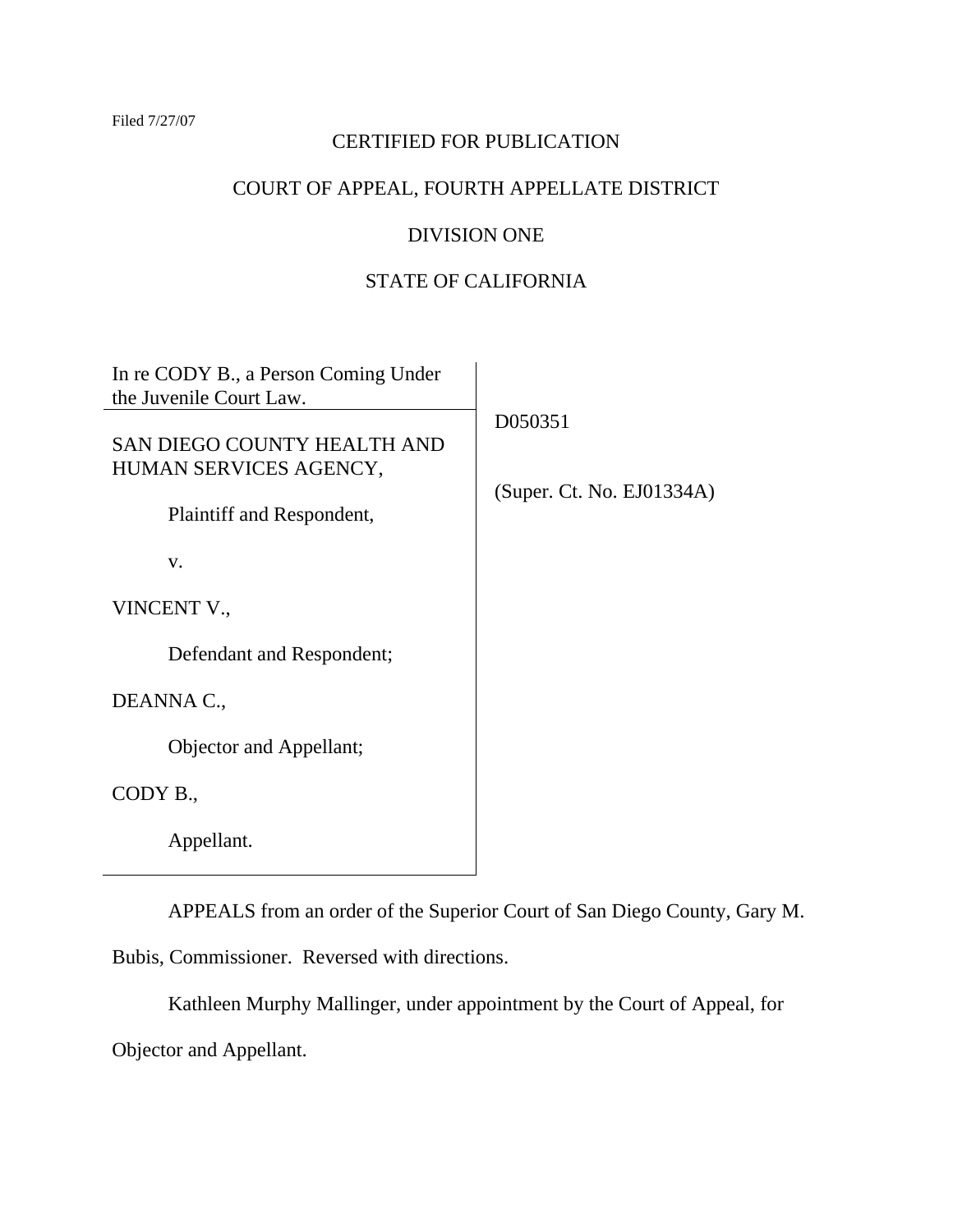#### Filed 7/27/07

# CERTIFIED FOR PUBLICATION

# COURT OF APPEAL, FOURTH APPELLATE DISTRICT

# DIVISION ONE

# STATE OF CALIFORNIA

| In re CODY B., a Person Coming Under<br>the Juvenile Court Law. |                           |
|-----------------------------------------------------------------|---------------------------|
| SAN DIEGO COUNTY HEALTH AND<br>HUMAN SERVICES AGENCY,           | D050351                   |
| Plaintiff and Respondent,                                       | (Super. Ct. No. EJO1334A) |
| V.                                                              |                           |
| VINCENT V.,                                                     |                           |
| Defendant and Respondent;                                       |                           |
| DEANNA C.,                                                      |                           |
| Objector and Appellant;                                         |                           |
| CODY B.,                                                        |                           |
| Appellant.                                                      |                           |

APPEALS from an order of the Superior Court of San Diego County, Gary M.

Bubis, Commissioner. Reversed with directions.

 Kathleen Murphy Mallinger, under appointment by the Court of Appeal, for Objector and Appellant.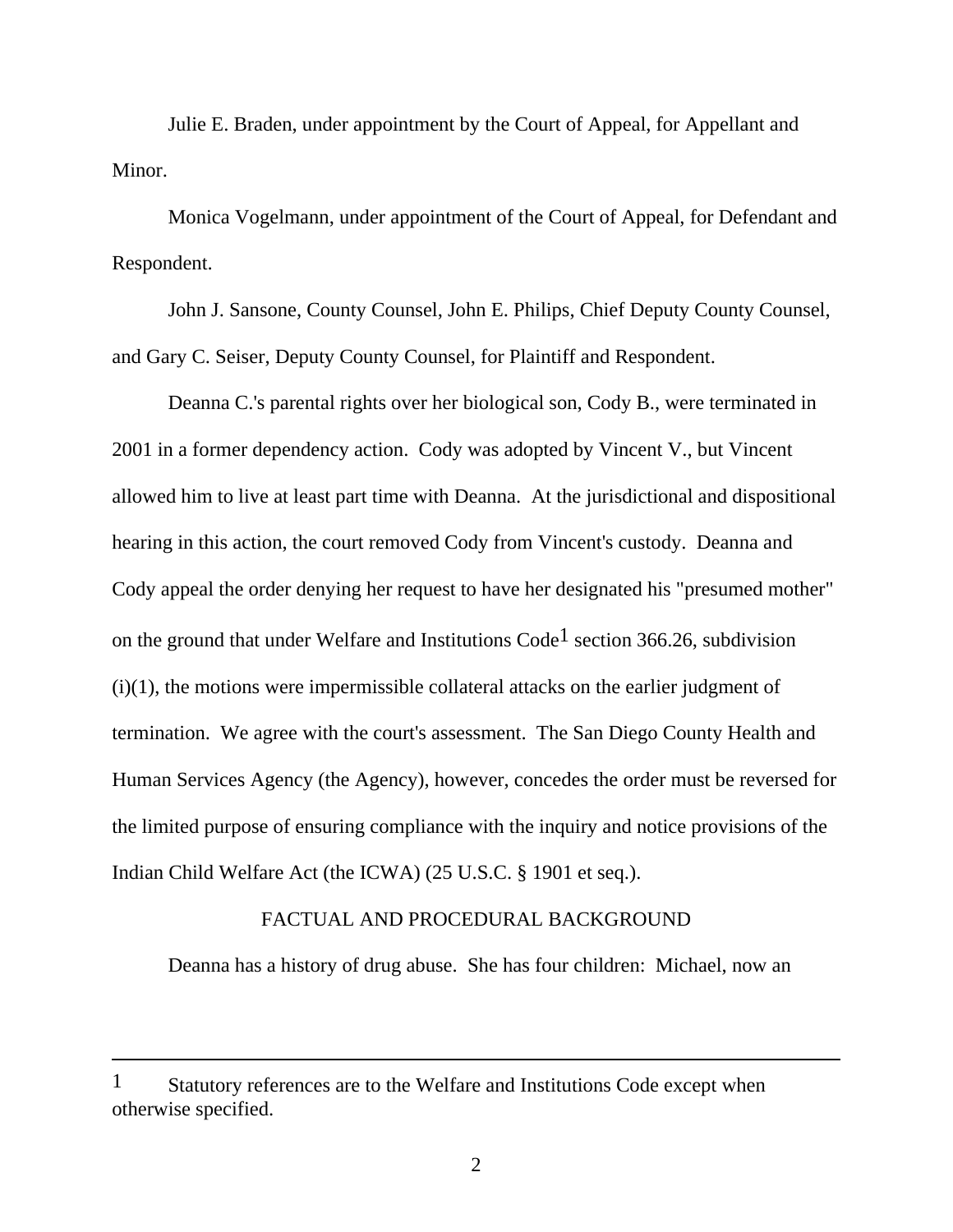Julie E. Braden, under appointment by the Court of Appeal, for Appellant and Minor.

 Monica Vogelmann, under appointment of the Court of Appeal, for Defendant and Respondent.

 John J. Sansone, County Counsel, John E. Philips, Chief Deputy County Counsel, and Gary C. Seiser, Deputy County Counsel, for Plaintiff and Respondent.

 Deanna C.'s parental rights over her biological son, Cody B., were terminated in 2001 in a former dependency action. Cody was adopted by Vincent V., but Vincent allowed him to live at least part time with Deanna. At the jurisdictional and dispositional hearing in this action, the court removed Cody from Vincent's custody. Deanna and Cody appeal the order denying her request to have her designated his "presumed mother" on the ground that under Welfare and Institutions  $Code<sup>1</sup>$  section 366.26, subdivision  $(i)(1)$ , the motions were impermissible collateral attacks on the earlier judgment of termination. We agree with the court's assessment. The San Diego County Health and Human Services Agency (the Agency), however, concedes the order must be reversed for the limited purpose of ensuring compliance with the inquiry and notice provisions of the Indian Child Welfare Act (the ICWA) (25 U.S.C. § 1901 et seq.).

## FACTUAL AND PROCEDURAL BACKGROUND

Deanna has a history of drug abuse. She has four children: Michael, now an

<sup>1</sup> Statutory references are to the Welfare and Institutions Code except when otherwise specified.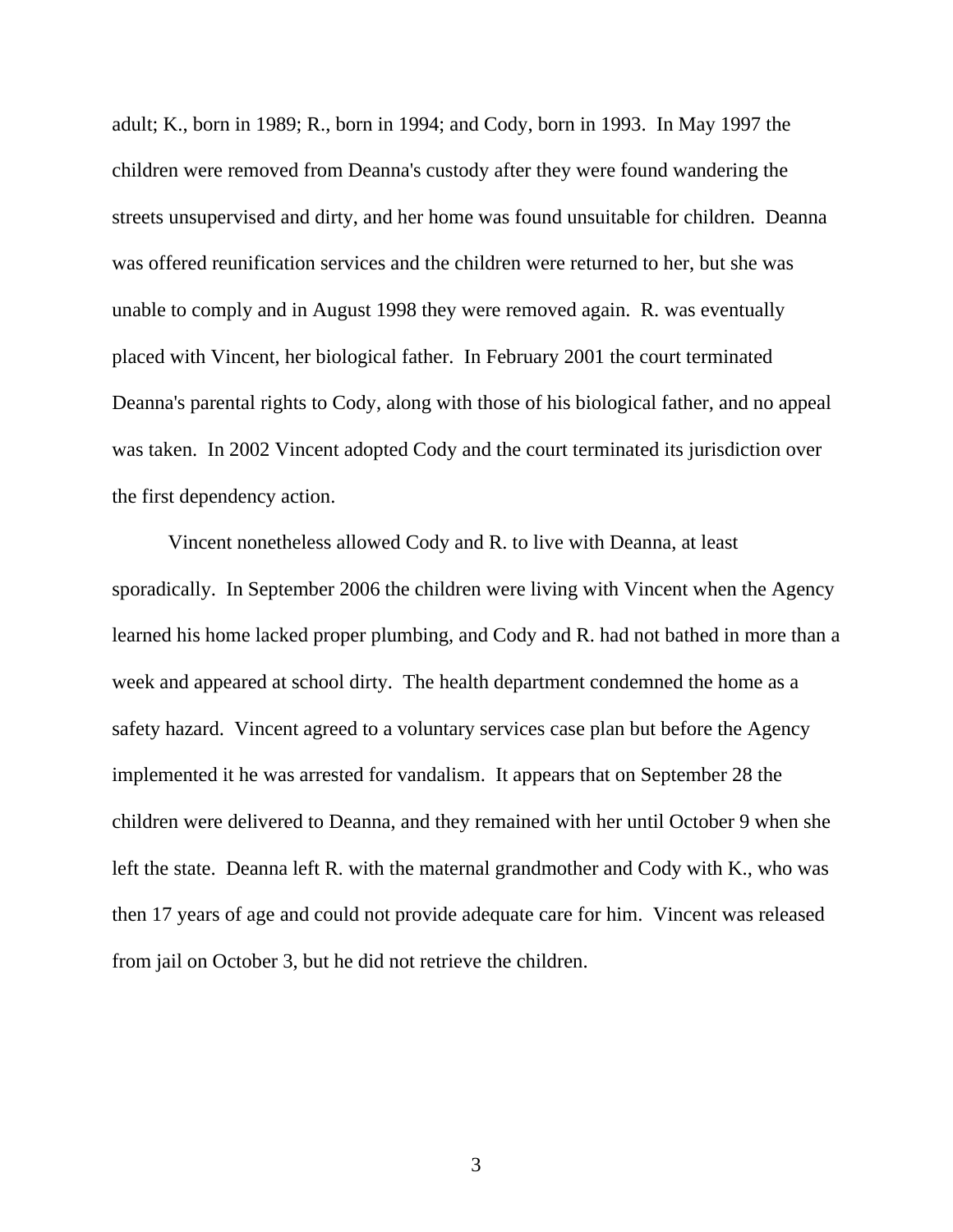adult; K., born in 1989; R., born in 1994; and Cody, born in 1993. In May 1997 the children were removed from Deanna's custody after they were found wandering the streets unsupervised and dirty, and her home was found unsuitable for children. Deanna was offered reunification services and the children were returned to her, but she was unable to comply and in August 1998 they were removed again. R. was eventually placed with Vincent, her biological father. In February 2001 the court terminated Deanna's parental rights to Cody, along with those of his biological father, and no appeal was taken. In 2002 Vincent adopted Cody and the court terminated its jurisdiction over the first dependency action.

 Vincent nonetheless allowed Cody and R. to live with Deanna, at least sporadically. In September 2006 the children were living with Vincent when the Agency learned his home lacked proper plumbing, and Cody and R. had not bathed in more than a week and appeared at school dirty. The health department condemned the home as a safety hazard. Vincent agreed to a voluntary services case plan but before the Agency implemented it he was arrested for vandalism. It appears that on September 28 the children were delivered to Deanna, and they remained with her until October 9 when she left the state. Deanna left R. with the maternal grandmother and Cody with K., who was then 17 years of age and could not provide adequate care for him. Vincent was released from jail on October 3, but he did not retrieve the children.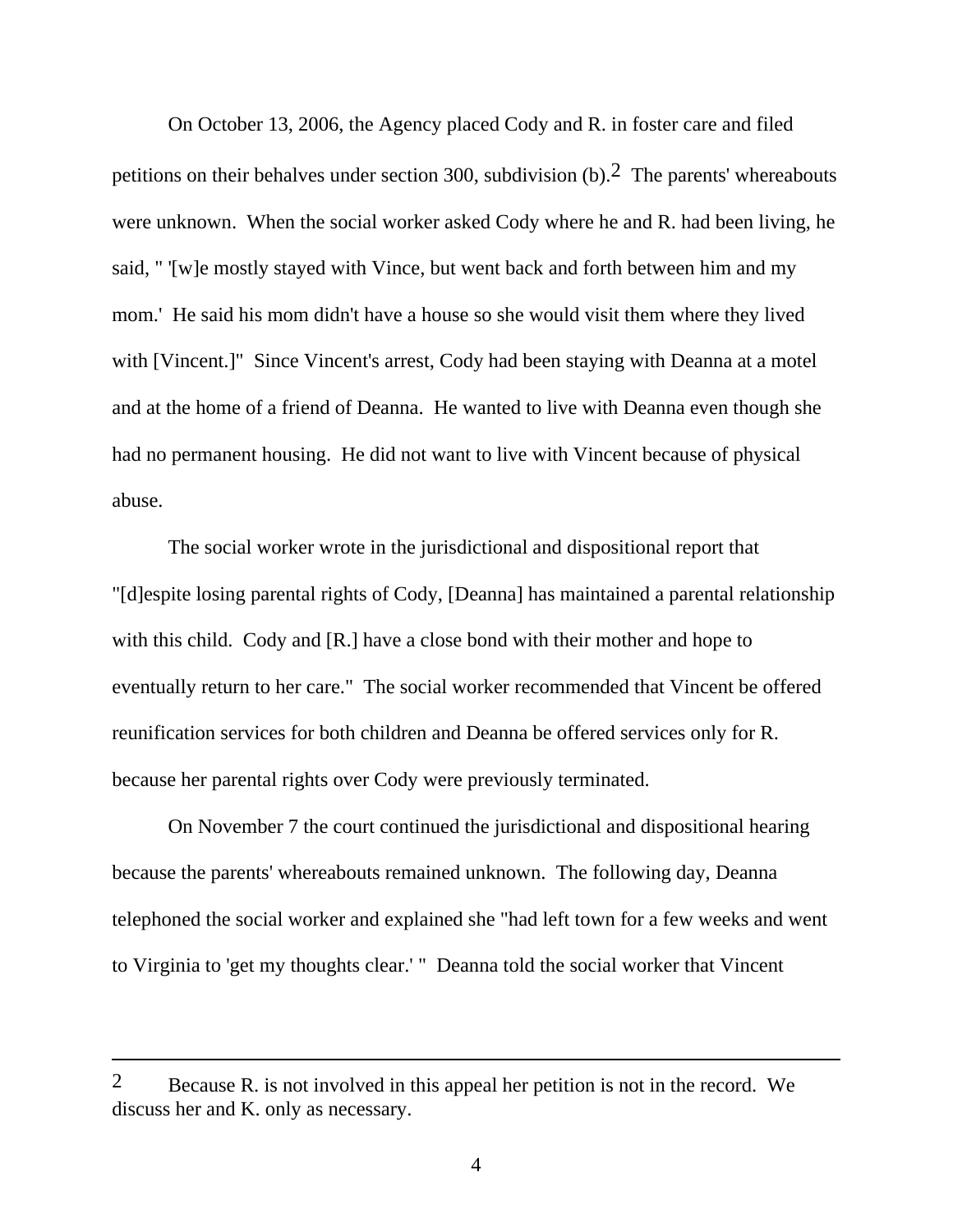On October 13, 2006, the Agency placed Cody and R. in foster care and filed petitions on their behalves under section 300, subdivision  $(b)$ . The parents' whereabouts were unknown. When the social worker asked Cody where he and R. had been living, he said, " '[w]e mostly stayed with Vince, but went back and forth between him and my mom.' He said his mom didn't have a house so she would visit them where they lived with [Vincent.]" Since Vincent's arrest, Cody had been staying with Deanna at a motel and at the home of a friend of Deanna. He wanted to live with Deanna even though she had no permanent housing. He did not want to live with Vincent because of physical abuse.

 The social worker wrote in the jurisdictional and dispositional report that "[d]espite losing parental rights of Cody, [Deanna] has maintained a parental relationship with this child. Cody and [R.] have a close bond with their mother and hope to eventually return to her care." The social worker recommended that Vincent be offered reunification services for both children and Deanna be offered services only for R. because her parental rights over Cody were previously terminated.

 On November 7 the court continued the jurisdictional and dispositional hearing because the parents' whereabouts remained unknown. The following day, Deanna telephoned the social worker and explained she "had left town for a few weeks and went to Virginia to 'get my thoughts clear.' " Deanna told the social worker that Vincent

<sup>2</sup> Because R. is not involved in this appeal her petition is not in the record. We discuss her and K. only as necessary.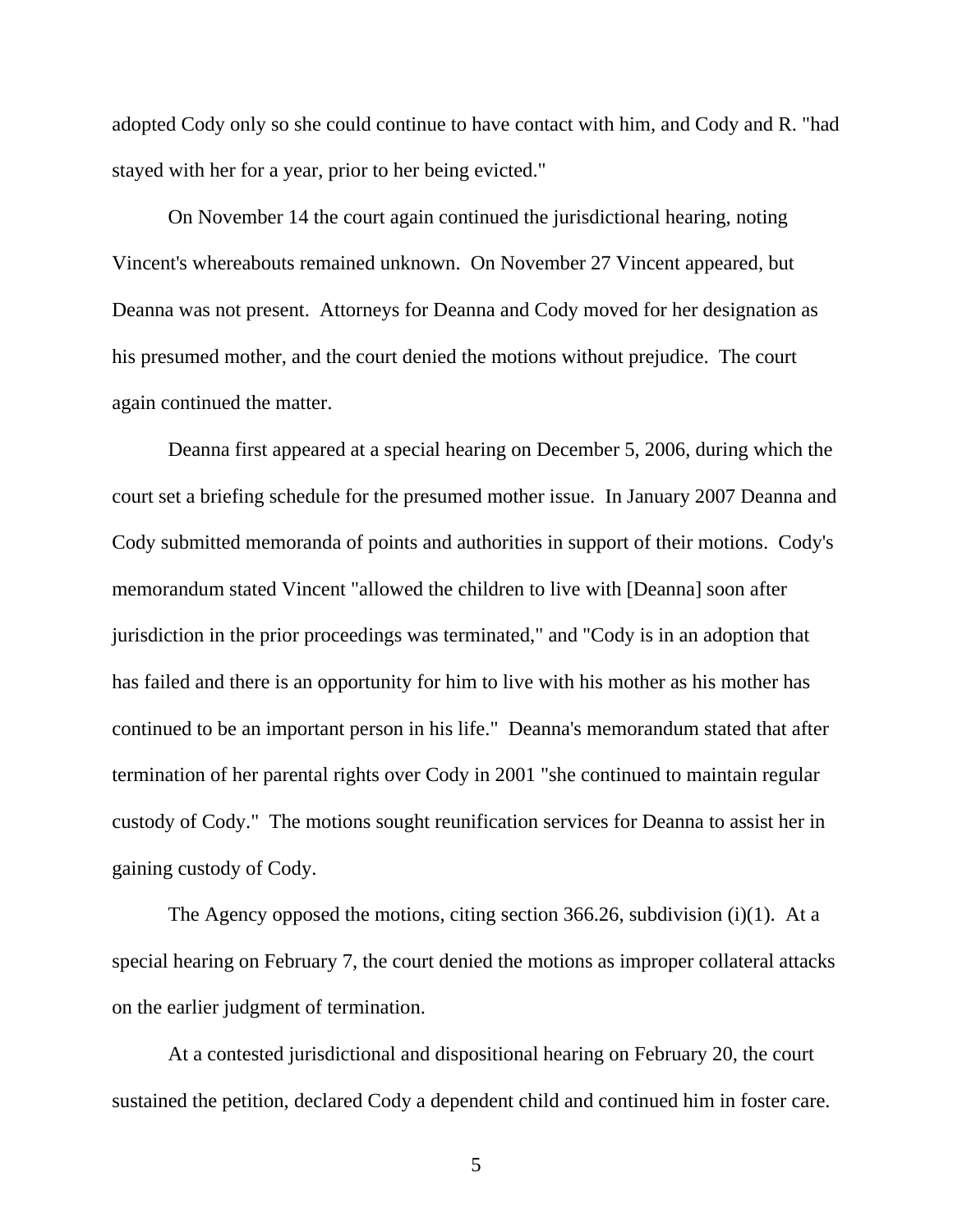adopted Cody only so she could continue to have contact with him, and Cody and R. "had stayed with her for a year, prior to her being evicted."

 On November 14 the court again continued the jurisdictional hearing, noting Vincent's whereabouts remained unknown. On November 27 Vincent appeared, but Deanna was not present. Attorneys for Deanna and Cody moved for her designation as his presumed mother, and the court denied the motions without prejudice. The court again continued the matter.

 Deanna first appeared at a special hearing on December 5, 2006, during which the court set a briefing schedule for the presumed mother issue. In January 2007 Deanna and Cody submitted memoranda of points and authorities in support of their motions. Cody's memorandum stated Vincent "allowed the children to live with [Deanna] soon after jurisdiction in the prior proceedings was terminated," and "Cody is in an adoption that has failed and there is an opportunity for him to live with his mother as his mother has continued to be an important person in his life." Deanna's memorandum stated that after termination of her parental rights over Cody in 2001 "she continued to maintain regular custody of Cody." The motions sought reunification services for Deanna to assist her in gaining custody of Cody.

 The Agency opposed the motions, citing section 366.26, subdivision (i)(1). At a special hearing on February 7, the court denied the motions as improper collateral attacks on the earlier judgment of termination.

 At a contested jurisdictional and dispositional hearing on February 20, the court sustained the petition, declared Cody a dependent child and continued him in foster care.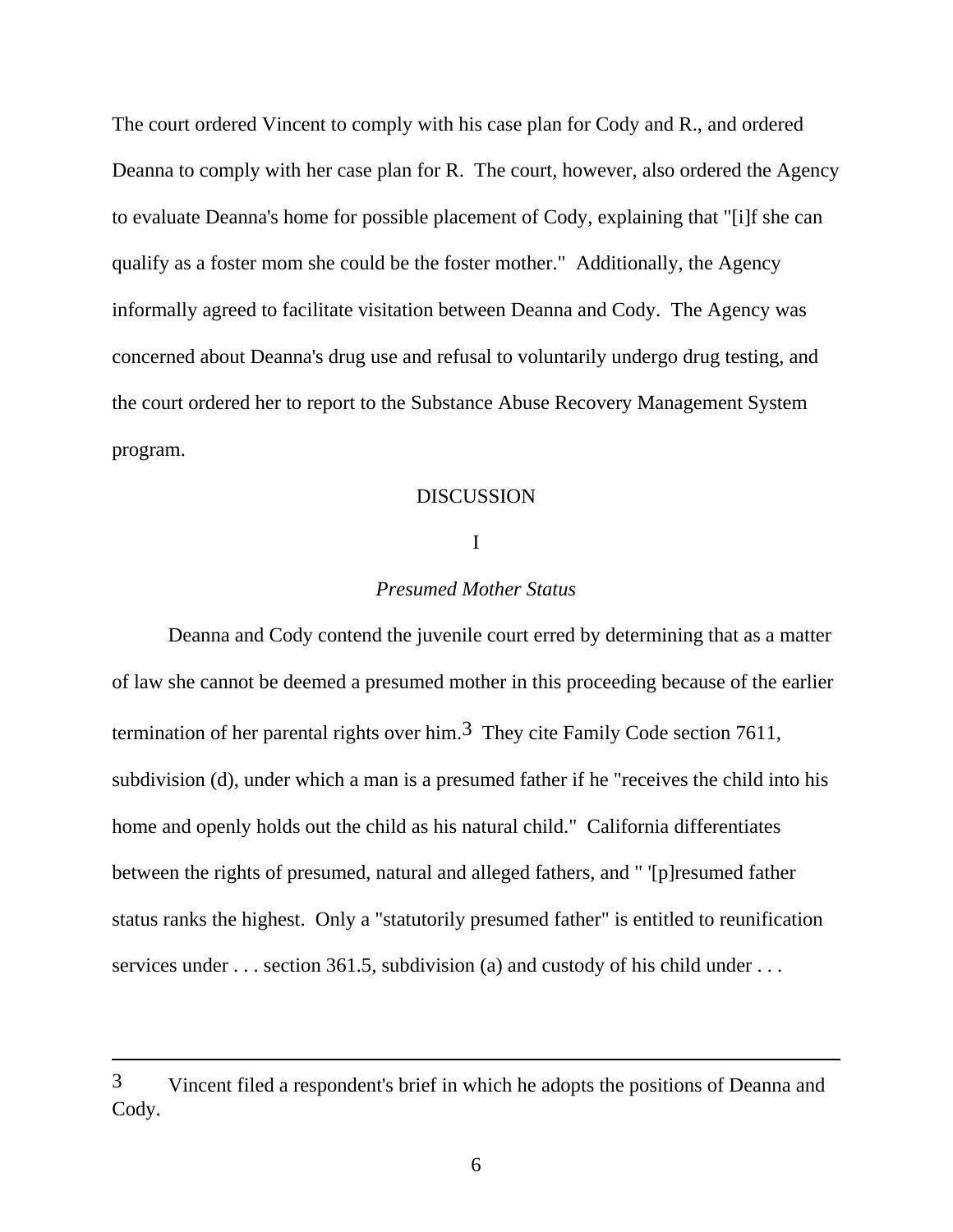The court ordered Vincent to comply with his case plan for Cody and R., and ordered Deanna to comply with her case plan for R. The court, however, also ordered the Agency to evaluate Deanna's home for possible placement of Cody, explaining that "[i]f she can qualify as a foster mom she could be the foster mother." Additionally, the Agency informally agreed to facilitate visitation between Deanna and Cody. The Agency was concerned about Deanna's drug use and refusal to voluntarily undergo drug testing, and the court ordered her to report to the Substance Abuse Recovery Management System program.

#### DISCUSSION

## I

### *Presumed Mother Status*

 Deanna and Cody contend the juvenile court erred by determining that as a matter of law she cannot be deemed a presumed mother in this proceeding because of the earlier termination of her parental rights over him.<sup>3</sup> They cite Family Code section 7611, subdivision (d), under which a man is a presumed father if he "receives the child into his home and openly holds out the child as his natural child." California differentiates between the rights of presumed, natural and alleged fathers, and " '[p]resumed father status ranks the highest. Only a "statutorily presumed father" is entitled to reunification services under . . . section 361.5, subdivision (a) and custody of his child under . . .

<sup>3</sup> Vincent filed a respondent's brief in which he adopts the positions of Deanna and Cody.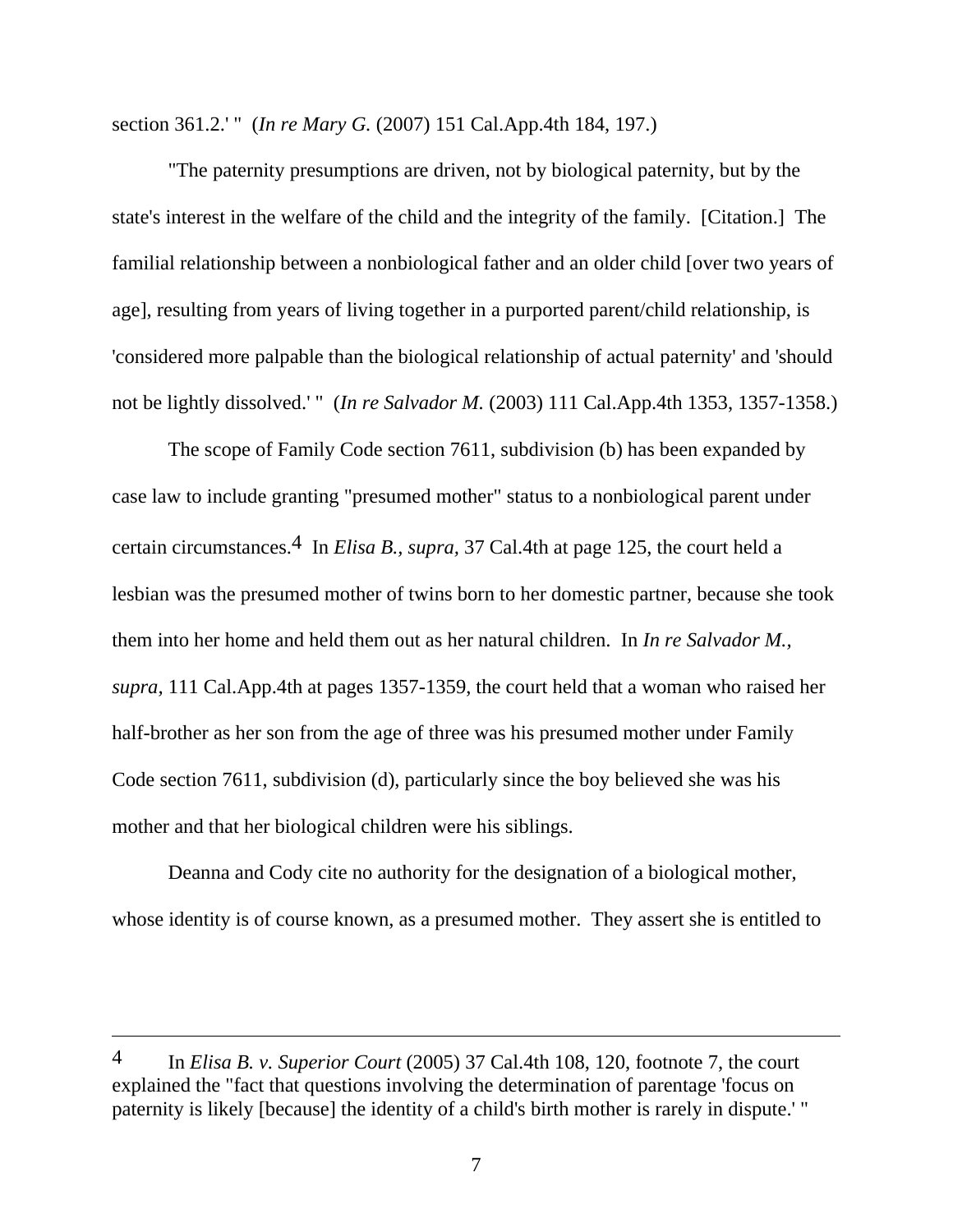section 361.2.' " (*In re Mary G.* (2007) 151 Cal.App.4th 184, 197.)

 "The paternity presumptions are driven, not by biological paternity, but by the state's interest in the welfare of the child and the integrity of the family. [Citation.] The familial relationship between a nonbiological father and an older child [over two years of age], resulting from years of living together in a purported parent/child relationship, is 'considered more palpable than the biological relationship of actual paternity' and 'should not be lightly dissolved.' " (*In re Salvador M.* (2003) 111 Cal.App.4th 1353, 1357-1358.)

 The scope of Family Code section 7611, subdivision (b) has been expanded by case law to include granting "presumed mother" status to a nonbiological parent under certain circumstances.4 In *Elisa B., supra,* 37 Cal.4th at page 125, the court held a lesbian was the presumed mother of twins born to her domestic partner, because she took them into her home and held them out as her natural children. In *In re Salvador M., supra,* 111 Cal.App.4th at pages 1357-1359, the court held that a woman who raised her half-brother as her son from the age of three was his presumed mother under Family Code section 7611, subdivision (d), particularly since the boy believed she was his mother and that her biological children were his siblings.

 Deanna and Cody cite no authority for the designation of a biological mother, whose identity is of course known, as a presumed mother. They assert she is entitled to

<sup>4</sup> In *Elisa B. v. Superior Court* (2005) 37 Cal.4th 108, 120, footnote 7, the court explained the "fact that questions involving the determination of parentage 'focus on paternity is likely [because] the identity of a child's birth mother is rarely in dispute.' "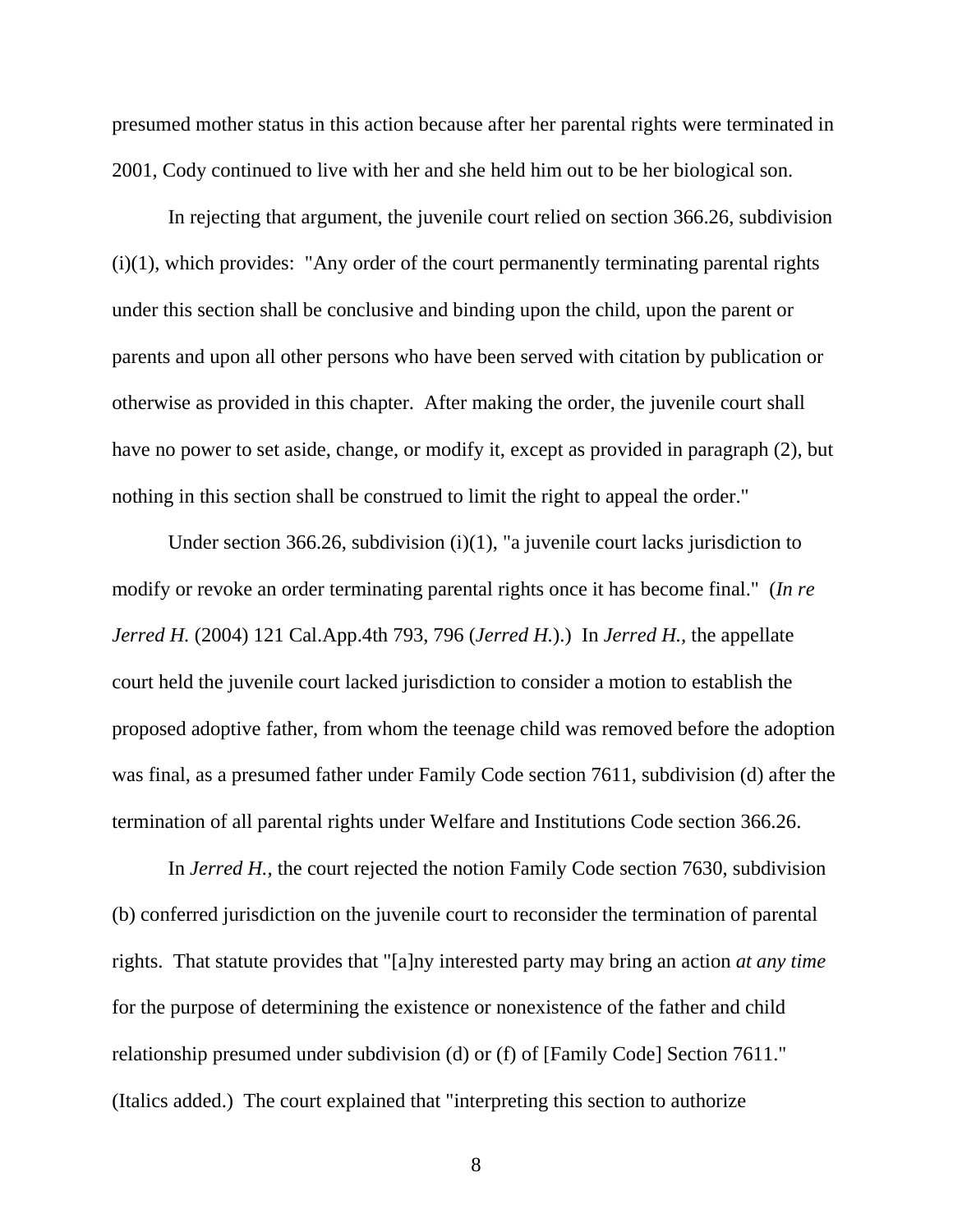presumed mother status in this action because after her parental rights were terminated in 2001, Cody continued to live with her and she held him out to be her biological son.

 In rejecting that argument, the juvenile court relied on section 366.26, subdivision  $(i)(1)$ , which provides: "Any order of the court permanently terminating parental rights under this section shall be conclusive and binding upon the child, upon the parent or parents and upon all other persons who have been served with citation by publication or otherwise as provided in this chapter. After making the order, the juvenile court shall have no power to set aside, change, or modify it, except as provided in paragraph (2), but nothing in this section shall be construed to limit the right to appeal the order."

Under section 366.26, subdivision  $(i)(1)$ , "a juvenile court lacks jurisdiction to modify or revoke an order terminating parental rights once it has become final." (*In re Jerred H.* (2004) 121 Cal.App.4th 793, 796 (*Jerred H.*).) In *Jerred H.,* the appellate court held the juvenile court lacked jurisdiction to consider a motion to establish the proposed adoptive father, from whom the teenage child was removed before the adoption was final, as a presumed father under Family Code section 7611, subdivision (d) after the termination of all parental rights under Welfare and Institutions Code section 366.26.

 In *Jerred H.,* the court rejected the notion Family Code section 7630, subdivision (b) conferred jurisdiction on the juvenile court to reconsider the termination of parental rights. That statute provides that "[a]ny interested party may bring an action *at any time* for the purpose of determining the existence or nonexistence of the father and child relationship presumed under subdivision (d) or (f) of [Family Code] Section 7611." (Italics added.) The court explained that "interpreting this section to authorize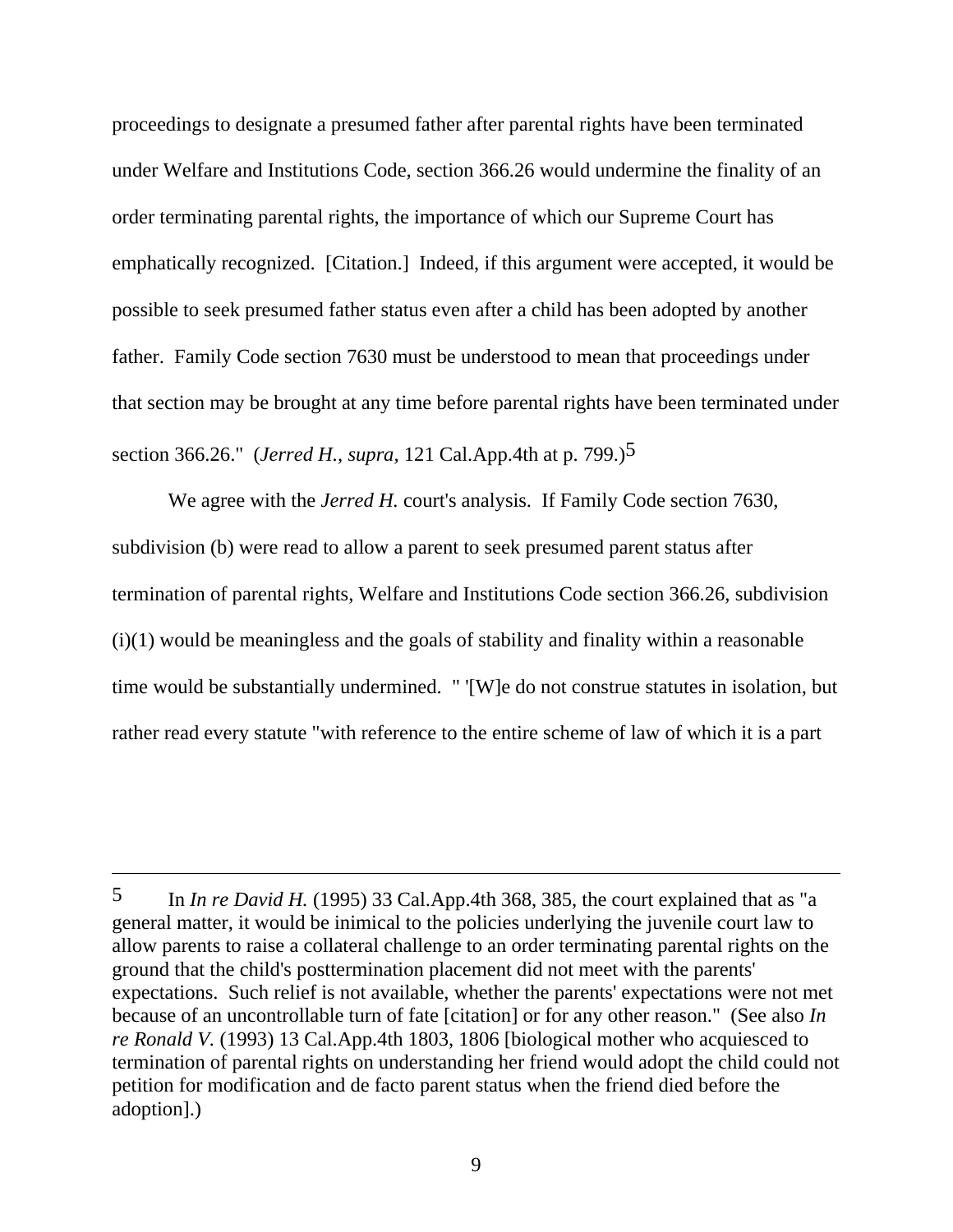proceedings to designate a presumed father after parental rights have been terminated under Welfare and Institutions Code, section 366.26 would undermine the finality of an order terminating parental rights, the importance of which our Supreme Court has emphatically recognized. [Citation.] Indeed, if this argument were accepted, it would be possible to seek presumed father status even after a child has been adopted by another father. Family Code section 7630 must be understood to mean that proceedings under that section may be brought at any time before parental rights have been terminated under section 366.26." (*Jerred H., supra,* 121 Cal.App.4th at p. 799.)5

We agree with the *Jerred H*. court's analysis. If Family Code section 7630, subdivision (b) were read to allow a parent to seek presumed parent status after termination of parental rights, Welfare and Institutions Code section 366.26, subdivision  $(i)(1)$  would be meaningless and the goals of stability and finality within a reasonable time would be substantially undermined. " '[W]e do not construe statutes in isolation, but rather read every statute "with reference to the entire scheme of law of which it is a part

<sup>5</sup> In *In re David H.* (1995) 33 Cal.App.4th 368, 385, the court explained that as "a general matter, it would be inimical to the policies underlying the juvenile court law to allow parents to raise a collateral challenge to an order terminating parental rights on the ground that the child's posttermination placement did not meet with the parents' expectations. Such relief is not available, whether the parents' expectations were not met because of an uncontrollable turn of fate [citation] or for any other reason." (See also *In re Ronald V.* (1993) 13 Cal.App.4th 1803, 1806 [biological mother who acquiesced to termination of parental rights on understanding her friend would adopt the child could not petition for modification and de facto parent status when the friend died before the adoption].)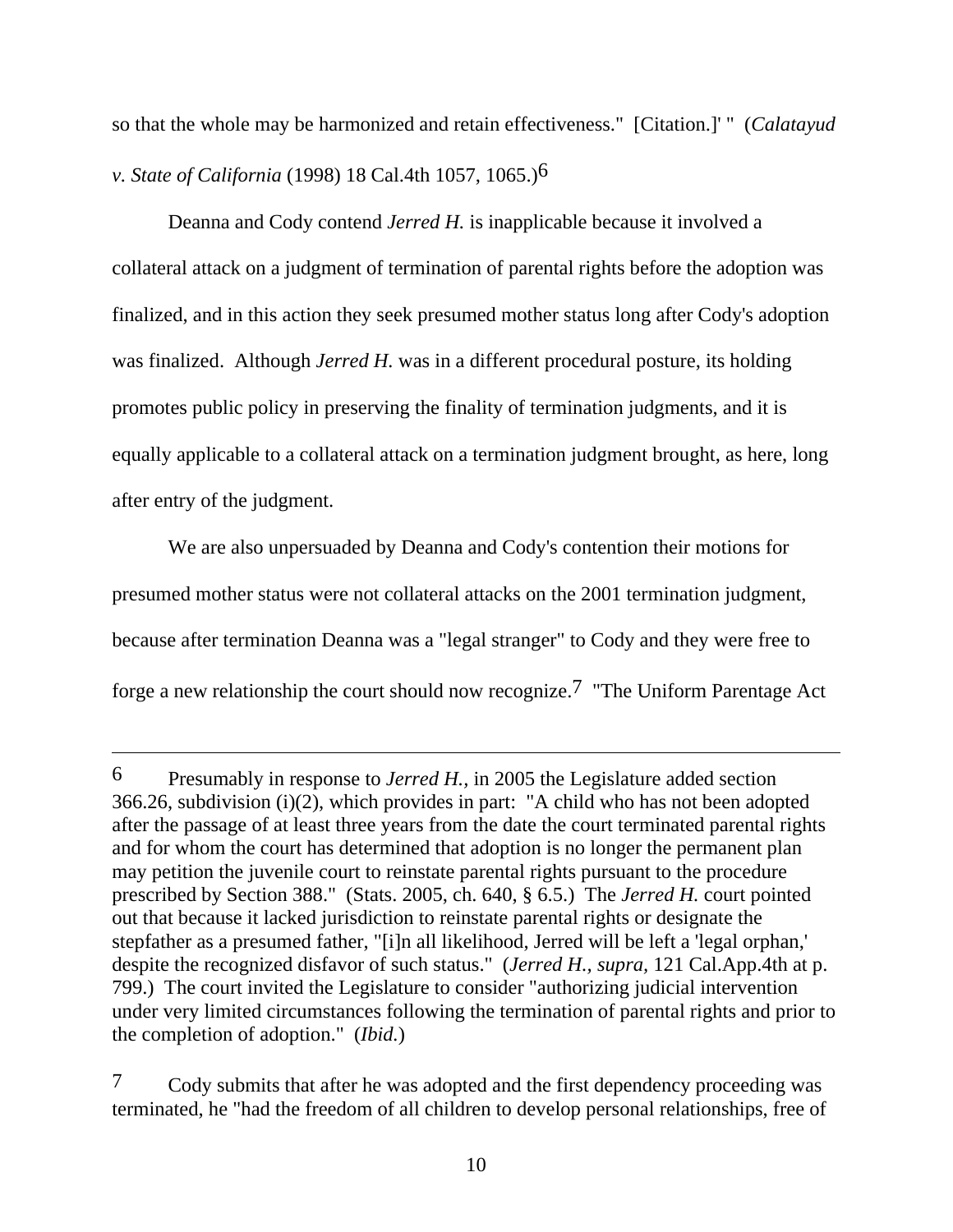so that the whole may be harmonized and retain effectiveness." [Citation.]' " (*Calatayud v. State of California* (1998) 18 Cal.4th 1057, 1065.)6

 Deanna and Cody contend *Jerred H.* is inapplicable because it involved a collateral attack on a judgment of termination of parental rights before the adoption was finalized, and in this action they seek presumed mother status long after Cody's adoption was finalized. Although *Jerred H.* was in a different procedural posture, its holding promotes public policy in preserving the finality of termination judgments, and it is equally applicable to a collateral attack on a termination judgment brought, as here, long after entry of the judgment.

 We are also unpersuaded by Deanna and Cody's contention their motions for presumed mother status were not collateral attacks on the 2001 termination judgment, because after termination Deanna was a "legal stranger" to Cody and they were free to forge a new relationship the court should now recognize.7 "The Uniform Parentage Act

<sup>6</sup> Presumably in response to *Jerred H.,* in 2005 the Legislature added section 366.26, subdivision (i)(2), which provides in part: "A child who has not been adopted after the passage of at least three years from the date the court terminated parental rights and for whom the court has determined that adoption is no longer the permanent plan may petition the juvenile court to reinstate parental rights pursuant to the procedure prescribed by Section 388." (Stats. 2005, ch. 640, § 6.5.) The *Jerred H.* court pointed out that because it lacked jurisdiction to reinstate parental rights or designate the stepfather as a presumed father, "[i]n all likelihood, Jerred will be left a 'legal orphan,' despite the recognized disfavor of such status." (*Jerred H., supra,* 121 Cal.App.4th at p. 799.) The court invited the Legislature to consider "authorizing judicial intervention under very limited circumstances following the termination of parental rights and prior to the completion of adoption." (*Ibid.*)

<sup>7</sup> Cody submits that after he was adopted and the first dependency proceeding was terminated, he "had the freedom of all children to develop personal relationships, free of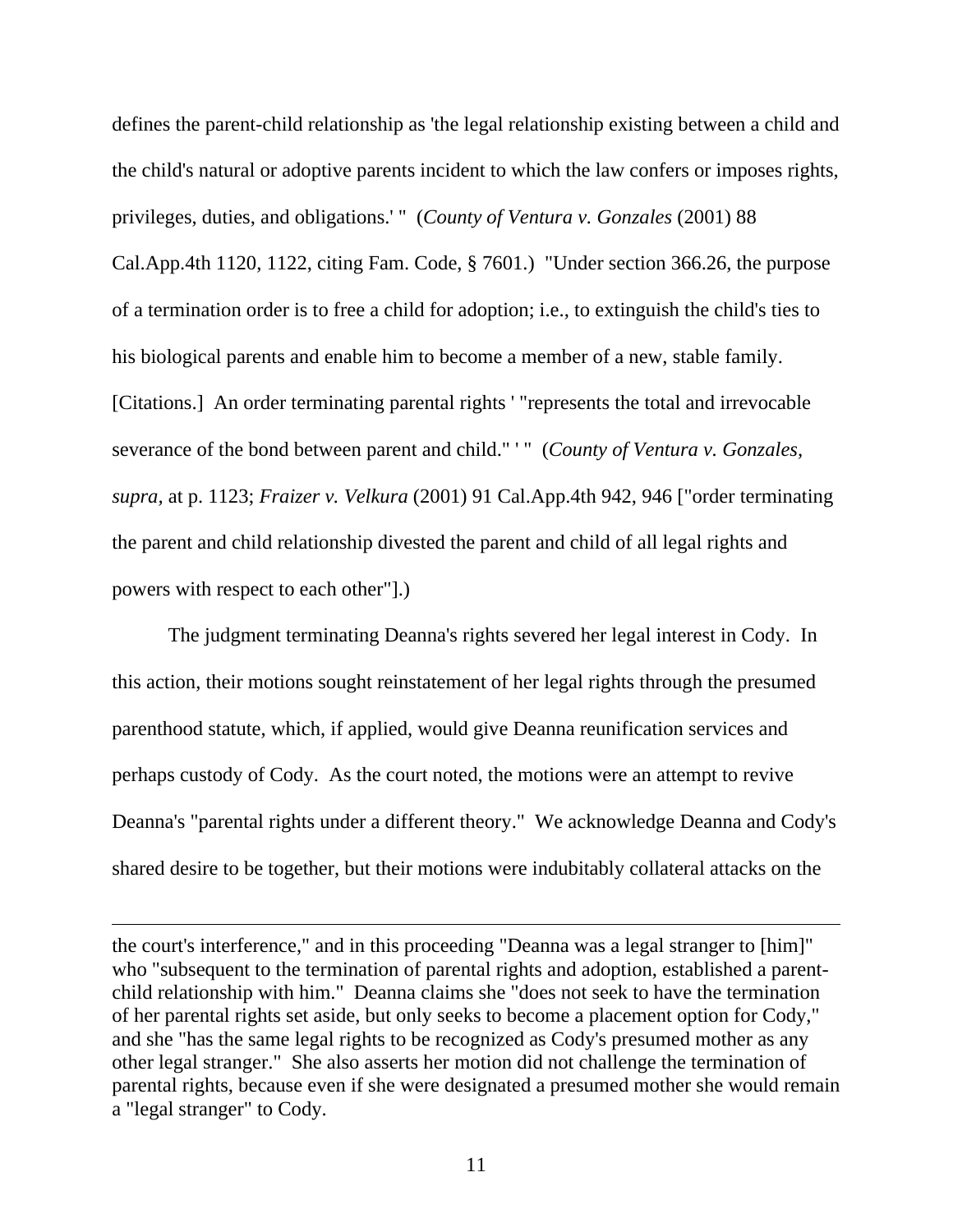defines the parent-child relationship as 'the legal relationship existing between a child and the child's natural or adoptive parents incident to which the law confers or imposes rights, privileges, duties, and obligations.' " (*County of Ventura v. Gonzales* (2001) 88 Cal.App.4th 1120, 1122, citing Fam. Code, § 7601.) "Under section 366.26, the purpose of a termination order is to free a child for adoption; i.e., to extinguish the child's ties to his biological parents and enable him to become a member of a new, stable family. [Citations.] An order terminating parental rights ' "represents the total and irrevocable severance of the bond between parent and child." ' " (*County of Ventura v. Gonzales, supra,* at p. 1123; *Fraizer v. Velkura* (2001) 91 Cal.App.4th 942, 946 ["order terminating the parent and child relationship divested the parent and child of all legal rights and powers with respect to each other"].)

 The judgment terminating Deanna's rights severed her legal interest in Cody. In this action, their motions sought reinstatement of her legal rights through the presumed parenthood statute, which, if applied, would give Deanna reunification services and perhaps custody of Cody. As the court noted, the motions were an attempt to revive Deanna's "parental rights under a different theory." We acknowledge Deanna and Cody's shared desire to be together, but their motions were indubitably collateral attacks on the

the court's interference," and in this proceeding "Deanna was a legal stranger to [him]" who "subsequent to the termination of parental rights and adoption, established a parentchild relationship with him." Deanna claims she "does not seek to have the termination of her parental rights set aside, but only seeks to become a placement option for Cody," and she "has the same legal rights to be recognized as Cody's presumed mother as any other legal stranger." She also asserts her motion did not challenge the termination of parental rights, because even if she were designated a presumed mother she would remain a "legal stranger" to Cody.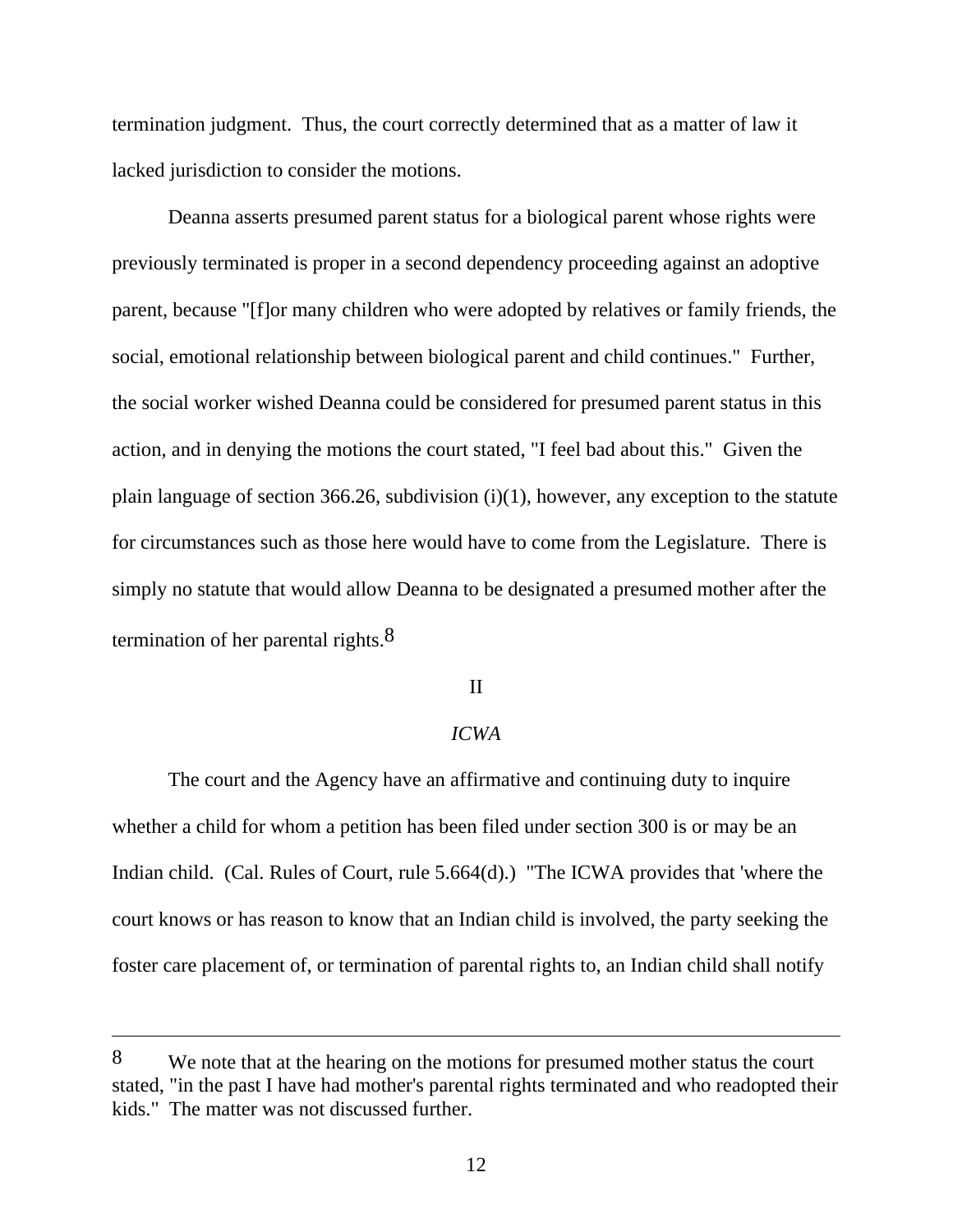termination judgment. Thus, the court correctly determined that as a matter of law it lacked jurisdiction to consider the motions.

 Deanna asserts presumed parent status for a biological parent whose rights were previously terminated is proper in a second dependency proceeding against an adoptive parent, because "[f]or many children who were adopted by relatives or family friends, the social, emotional relationship between biological parent and child continues." Further, the social worker wished Deanna could be considered for presumed parent status in this action, and in denying the motions the court stated, "I feel bad about this." Given the plain language of section 366.26, subdivision  $(i)(1)$ , however, any exception to the statute for circumstances such as those here would have to come from the Legislature. There is simply no statute that would allow Deanna to be designated a presumed mother after the termination of her parental rights. $8$ 

## II

## *ICWA*

 The court and the Agency have an affirmative and continuing duty to inquire whether a child for whom a petition has been filed under section 300 is or may be an Indian child. (Cal. Rules of Court, rule 5.664(d).) "The ICWA provides that 'where the court knows or has reason to know that an Indian child is involved, the party seeking the foster care placement of, or termination of parental rights to, an Indian child shall notify

<sup>8</sup> We note that at the hearing on the motions for presumed mother status the court stated, "in the past I have had mother's parental rights terminated and who readopted their kids." The matter was not discussed further.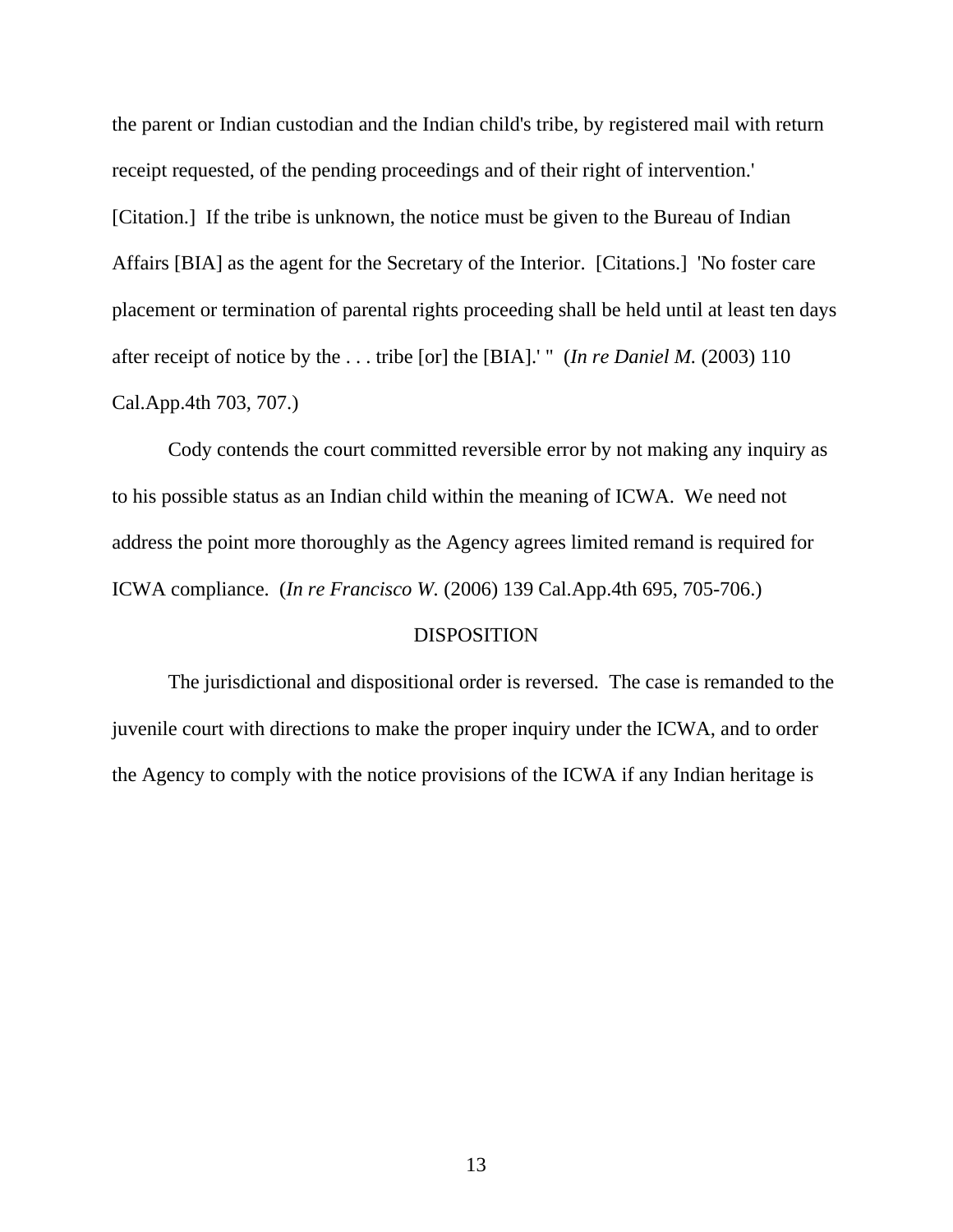the parent or Indian custodian and the Indian child's tribe, by registered mail with return receipt requested, of the pending proceedings and of their right of intervention.' [Citation.] If the tribe is unknown, the notice must be given to the Bureau of Indian Affairs [BIA] as the agent for the Secretary of the Interior. [Citations.] 'No foster care placement or termination of parental rights proceeding shall be held until at least ten days after receipt of notice by the . . . tribe [or] the [BIA].' " (*In re Daniel M.* (2003) 110 Cal.App.4th 703, 707.)

 Cody contends the court committed reversible error by not making any inquiry as to his possible status as an Indian child within the meaning of ICWA. We need not address the point more thoroughly as the Agency agrees limited remand is required for ICWA compliance. (*In re Francisco W.* (2006) 139 Cal.App.4th 695, 705-706.)

## DISPOSITION

 The jurisdictional and dispositional order is reversed. The case is remanded to the juvenile court with directions to make the proper inquiry under the ICWA, and to order the Agency to comply with the notice provisions of the ICWA if any Indian heritage is